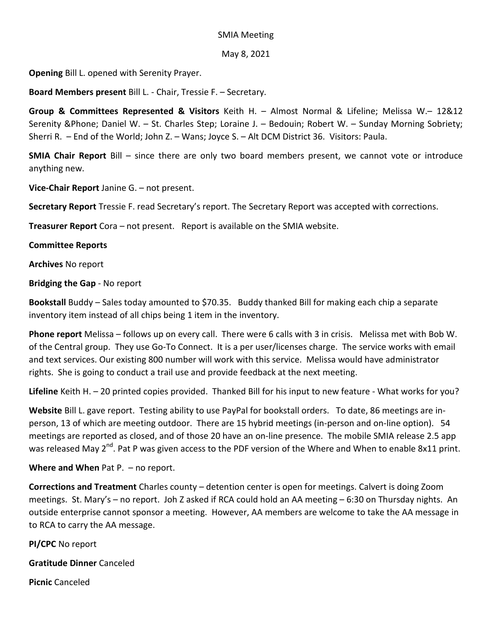## SMIA Meeting

## May 8, 2021

**Opening** Bill L. opened with Serenity Prayer.

**Board Members present** Bill L. - Chair, Tressie F. – Secretary.

**Group & Committees Represented & Visitors** Keith H. – Almost Normal & Lifeline; Melissa W.– 12&12 Serenity &Phone; Daniel W. – St. Charles Step; Loraine J. – Bedouin; Robert W. – Sunday Morning Sobriety; Sherri R. – End of the World; John Z. – Wans; Joyce S. – Alt DCM District 36. Visitors: Paula.

**SMIA Chair Report** Bill – since there are only two board members present, we cannot vote or introduce anything new.

**Vice-Chair Report** Janine G. – not present.

**Secretary Report** Tressie F. read Secretary's report. The Secretary Report was accepted with corrections.

**Treasurer Report** Cora – not present. Report is available on the SMIA website.

## **Committee Reports**

**Archives** No report

**Bridging the Gap** - No report

**Bookstall** Buddy – Sales today amounted to \$70.35. Buddy thanked Bill for making each chip a separate inventory item instead of all chips being 1 item in the inventory.

**Phone report** Melissa – follows up on every call. There were 6 calls with 3 in crisis. Melissa met with Bob W. of the Central group. They use Go-To Connect. It is a per user/licenses charge. The service works with email and text services. Our existing 800 number will work with this service. Melissa would have administrator rights. She is going to conduct a trail use and provide feedback at the next meeting.

**Lifeline** Keith H. – 20 printed copies provided. Thanked Bill for his input to new feature - What works for you?

**Website** Bill L. gave report. Testing ability to use PayPal for bookstall orders. To date, 86 meetings are inperson, 13 of which are meeting outdoor. There are 15 hybrid meetings (in-person and on-line option). 54 meetings are reported as closed, and of those 20 have an on-line presence. The mobile SMIA release 2.5 app was released May 2<sup>nd</sup>. Pat P was given access to the PDF version of the Where and When to enable 8x11 print.

**Where and When** Pat P. – no report.

**Corrections and Treatment** Charles county – detention center is open for meetings. Calvert is doing Zoom meetings. St. Mary's – no report. Joh Z asked if RCA could hold an AA meeting – 6:30 on Thursday nights. An outside enterprise cannot sponsor a meeting. However, AA members are welcome to take the AA message in to RCA to carry the AA message.

**PI/CPC** No report

**Gratitude Dinner** Canceled

**Picnic** Canceled